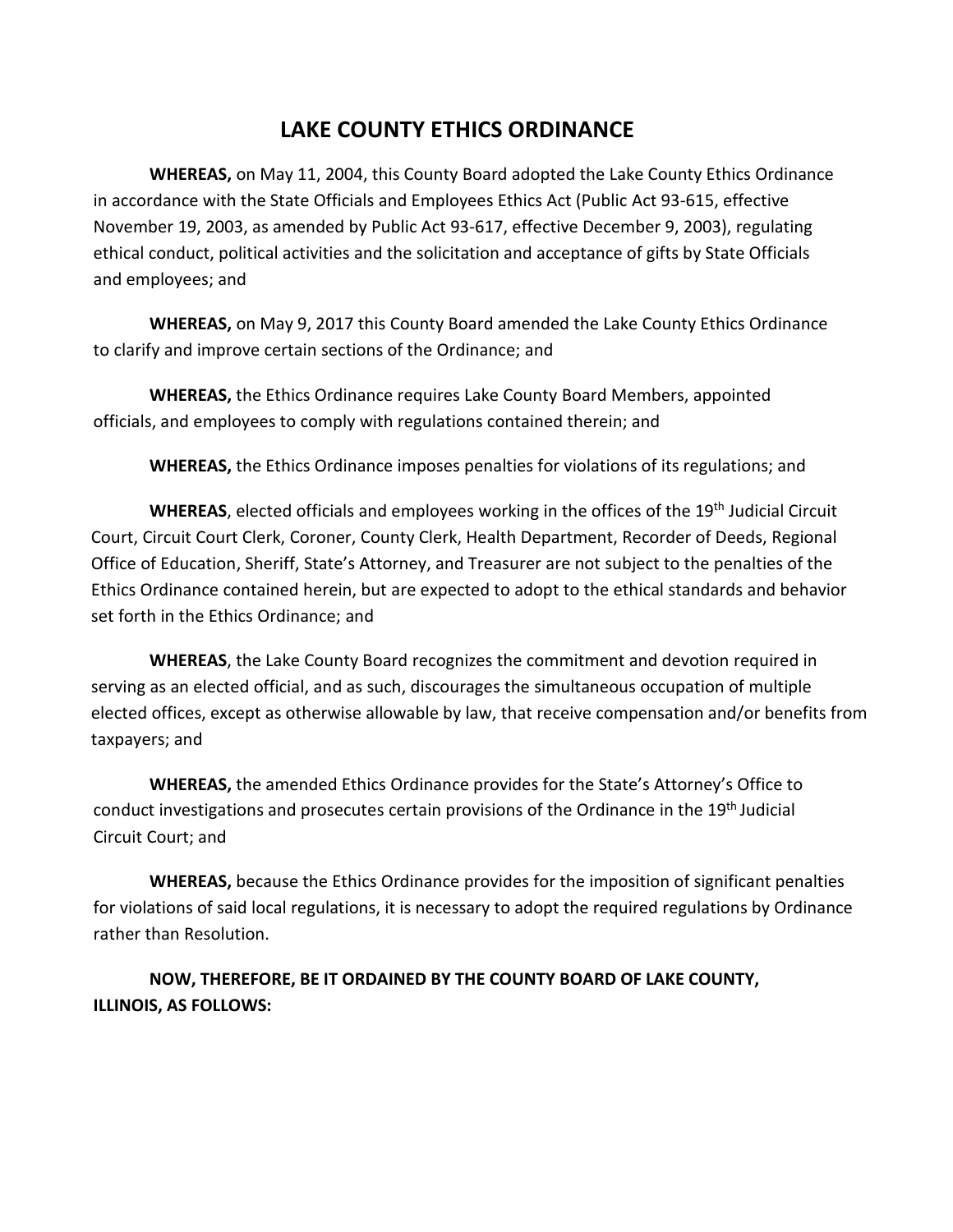# **LAKE COUNTY ETHICS ORDINANCE**

**WHEREAS,** on May 11, 2004, this County Board adopted the Lake County Ethics Ordinance in accordance with the State Officials and Employees Ethics Act (Public Act 93‐615, effective November 19, 2003, as amended by Public Act 93‐617, effective December 9, 2003), regulating ethical conduct, political activities and the solicitation and acceptance of gifts by State Officials and employees; and

**WHEREAS,** on May 9, 2017 this County Board amended the Lake County Ethics Ordinance to clarify and improve certain sections of the Ordinance; and

**WHEREAS,** the Ethics Ordinance requires Lake County Board Members, appointed officials, and employees to comply with regulations contained therein; and

**WHEREAS,** the Ethics Ordinance imposes penalties for violations of its regulations; and

WHEREAS, elected officials and employees working in the offices of the 19<sup>th</sup> Judicial Circuit Court, Circuit Court Clerk, Coroner, County Clerk, Health Department, Recorder of Deeds, Regional Office of Education, Sheriff, State's Attorney, and Treasurer are not subject to the penalties of the Ethics Ordinance contained herein, but are expected to adopt to the ethical standards and behavior set forth in the Ethics Ordinance; and

**WHEREAS**, the Lake County Board recognizes the commitment and devotion required in serving as an elected official, and as such, discourages the simultaneous occupation of multiple elected offices, except as otherwise allowable by law, that receive compensation and/or benefits from taxpayers; and

**WHEREAS,** the amended Ethics Ordinance provides for the State's Attorney's Office to conduct investigations and prosecutes certain provisions of the Ordinance in the 19<sup>th</sup> Judicial Circuit Court; and

**WHEREAS,** because the Ethics Ordinance provides for the imposition of significant penalties for violations of said local regulations, it is necessary to adopt the required regulations by Ordinance rather than Resolution.

**NOW, THEREFORE, BE IT ORDAINED BY THE COUNTY BOARD OF LAKE COUNTY, ILLINOIS, AS FOLLOWS:**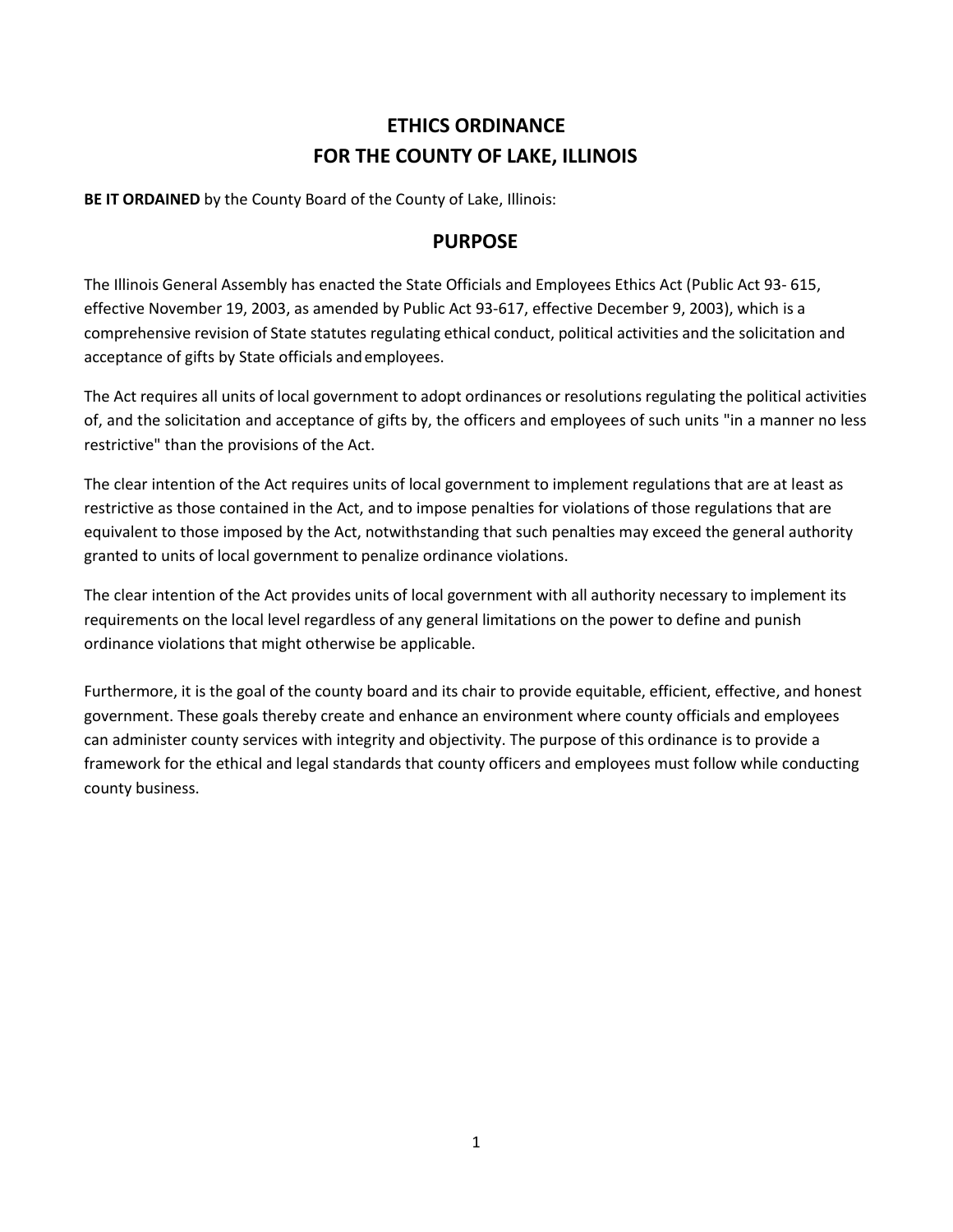# **ETHICS ORDINANCE FOR THE COUNTY OF LAKE, ILLINOIS**

**BE IT ORDAINED** by the County Board of the County of Lake, Illinois:

## **PURPOSE**

The Illinois General Assembly has enacted the State Officials and Employees Ethics Act (Public Act 93‐ 615, effective November 19, 2003, as amended by Public Act 93‐617, effective December 9, 2003), which is a comprehensive revision of State statutes regulating ethical conduct, political activities and the solicitation and acceptance of gifts by State officials andemployees.

The Act requires all units of local government to adopt ordinances or resolutions regulating the political activities of, and the solicitation and acceptance of gifts by, the officers and employees of such units "in a manner no less restrictive" than the provisions of the Act.

The clear intention of the Act requires units of local government to implement regulations that are at least as restrictive as those contained in the Act, and to impose penalties for violations of those regulations that are equivalent to those imposed by the Act, notwithstanding that such penalties may exceed the general authority granted to units of local government to penalize ordinance violations.

The clear intention of the Act provides units of local government with all authority necessary to implement its requirements on the local level regardless of any general limitations on the power to define and punish ordinance violations that might otherwise be applicable.

Furthermore, it is the goal of the county board and its chair to provide equitable, efficient, effective, and honest government. These goals thereby create and enhance an environment where county officials and employees can administer county services with integrity and objectivity. The purpose of this ordinance is to provide a framework for the ethical and legal standards that county officers and employees must follow while conducting county business.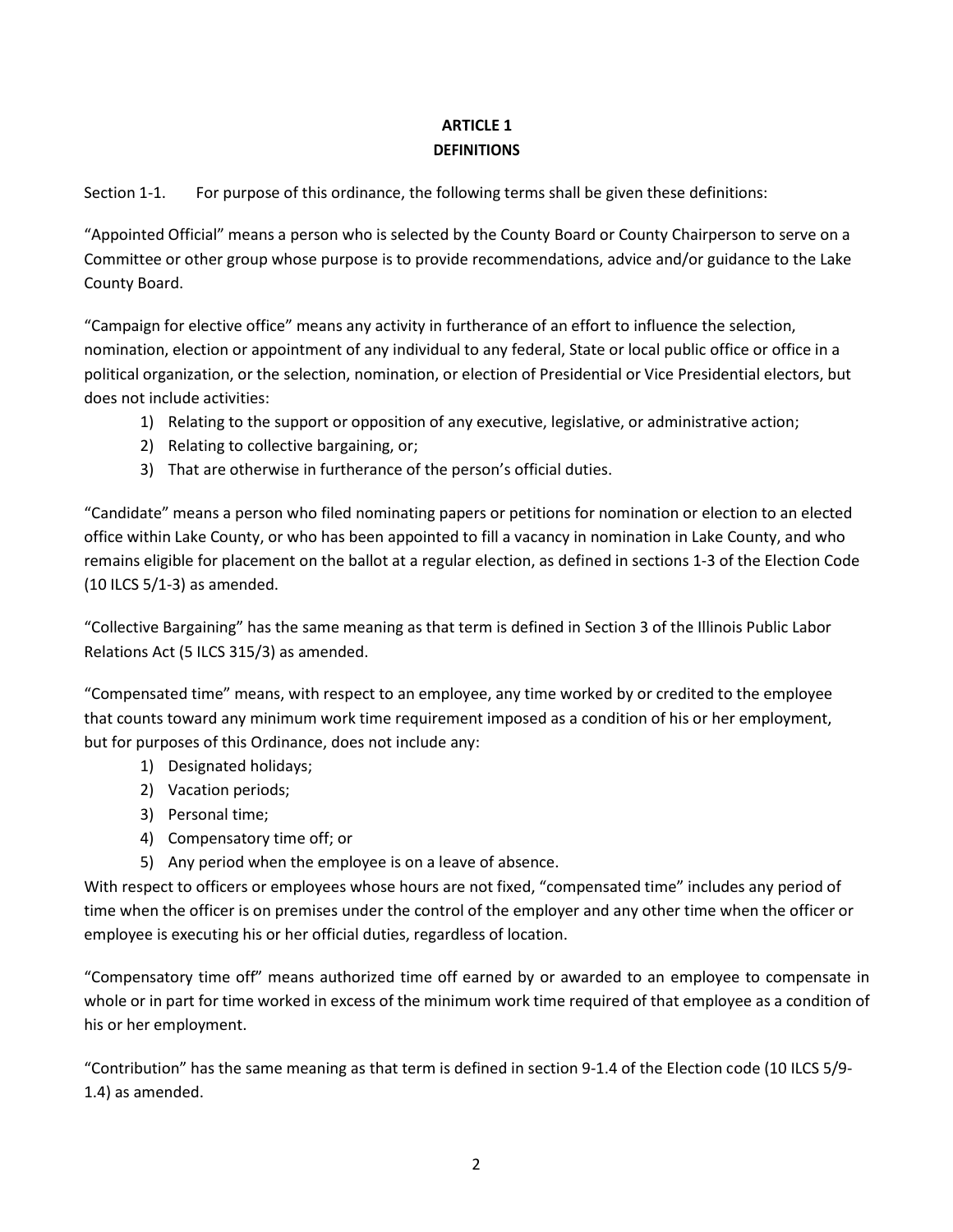## **ARTICLE 1 DEFINITIONS**

Section 1-1. For purpose of this ordinance, the following terms shall be given these definitions:

"Appointed Official" means a person who is selected by the County Board or County Chairperson to serve on a Committee or other group whose purpose is to provide recommendations, advice and/or guidance to the Lake County Board.

"Campaign for elective office" means any activity in furtherance of an effort to influence the selection, nomination, election or appointment of any individual to any federal, State or local public office or office in a political organization, or the selection, nomination, or election of Presidential or Vice Presidential electors, but does not include activities:

- 1) Relating to the support or opposition of any executive, legislative, or administrative action;
- 2) Relating to collective bargaining, or;
- 3) That are otherwise in furtherance of the person's official duties.

"Candidate" means a person who filed nominating papers or petitions for nomination or election to an elected office within Lake County, or who has been appointed to fill a vacancy in nomination in Lake County, and who remains eligible for placement on the ballot at a regular election, as defined in sections 1‐3 of the Election Code (10 ILCS 5/1‐3) as amended.

"Collective Bargaining" has the same meaning as that term is defined in Section 3 of the Illinois Public Labor Relations Act (5 ILCS 315/3) as amended.

"Compensated time" means, with respect to an employee, any time worked by or credited to the employee that counts toward any minimum work time requirement imposed as a condition of his or her employment, but for purposes of this Ordinance, does not include any:

- 1) Designated holidays;
- 2) Vacation periods;
- 3) Personal time;
- 4) Compensatory time off; or
- 5) Any period when the employee is on a leave of absence.

With respect to officers or employees whose hours are not fixed, "compensated time" includes any period of time when the officer is on premises under the control of the employer and any other time when the officer or employee is executing his or her official duties, regardless of location.

"Compensatory time off" means authorized time off earned by or awarded to an employee to compensate in whole or in part for time worked in excess of the minimum work time required of that employee as a condition of his or her employment.

"Contribution" has the same meaning as that term is defined in section 9‐1.4 of the Election code (10 ILCS 5/9‐ 1.4) as amended.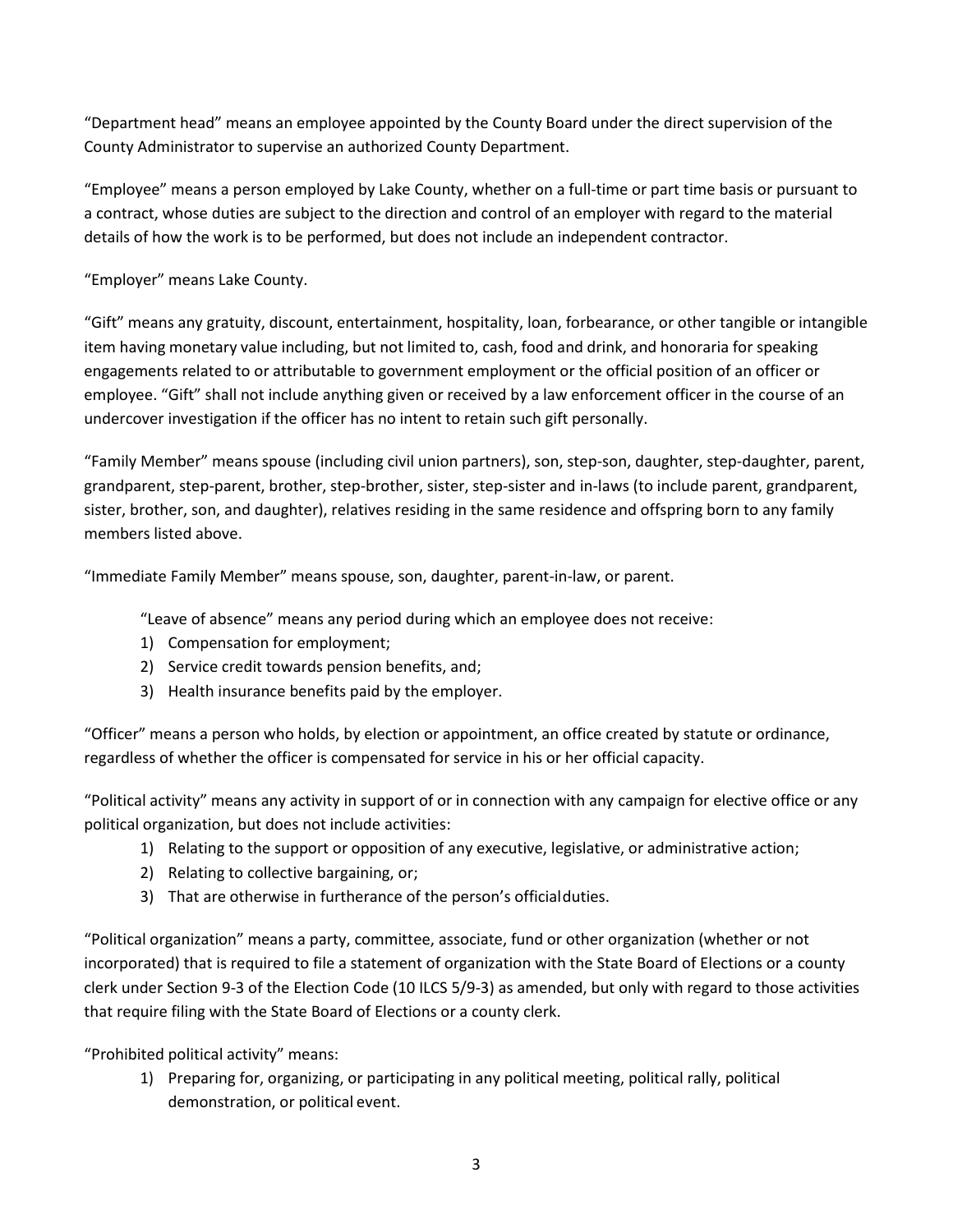"Department head" means an employee appointed by the County Board under the direct supervision of the County Administrator to supervise an authorized County Department.

"Employee" means a person employed by Lake County, whether on a full‐time or part time basis or pursuant to a contract, whose duties are subject to the direction and control of an employer with regard to the material details of how the work is to be performed, but does not include an independent contractor.

"Employer" means Lake County.

"Gift" means any gratuity, discount, entertainment, hospitality, loan, forbearance, or other tangible or intangible item having monetary value including, but not limited to, cash, food and drink, and honoraria for speaking engagements related to or attributable to government employment or the official position of an officer or employee. "Gift" shall not include anything given or received by a law enforcement officer in the course of an undercover investigation if the officer has no intent to retain such gift personally.

"Family Member" means spouse (including civil union partners), son, step-son, daughter, step-daughter, parent, grandparent, step-parent, brother, step-brother, sister, step-sister and in-laws (to include parent, grandparent, sister, brother, son, and daughter), relatives residing in the same residence and offspring born to any family members listed above.

"Immediate Family Member" means spouse, son, daughter, parent-in‐law, or parent.

"Leave of absence" means any period during which an employee does not receive:

- 1) Compensation for employment;
- 2) Service credit towards pension benefits, and;
- 3) Health insurance benefits paid by the employer.

"Officer" means a person who holds, by election or appointment, an office created by statute or ordinance, regardless of whether the officer is compensated for service in his or her official capacity.

"Political activity" means any activity in support of or in connection with any campaign for elective office or any political organization, but does not include activities:

- 1) Relating to the support or opposition of any executive, legislative, or administrative action;
- 2) Relating to collective bargaining, or;
- 3) That are otherwise in furtherance of the person's officialduties.

"Political organization" means a party, committee, associate, fund or other organization (whether or not incorporated) that is required to file a statement of organization with the State Board of Elections or a county clerk under Section 9‐3 of the Election Code (10 ILCS 5/9‐3) as amended, but only with regard to those activities that require filing with the State Board of Elections or a county clerk.

"Prohibited political activity" means:

1) Preparing for, organizing, or participating in any political meeting, political rally, political demonstration, or political event.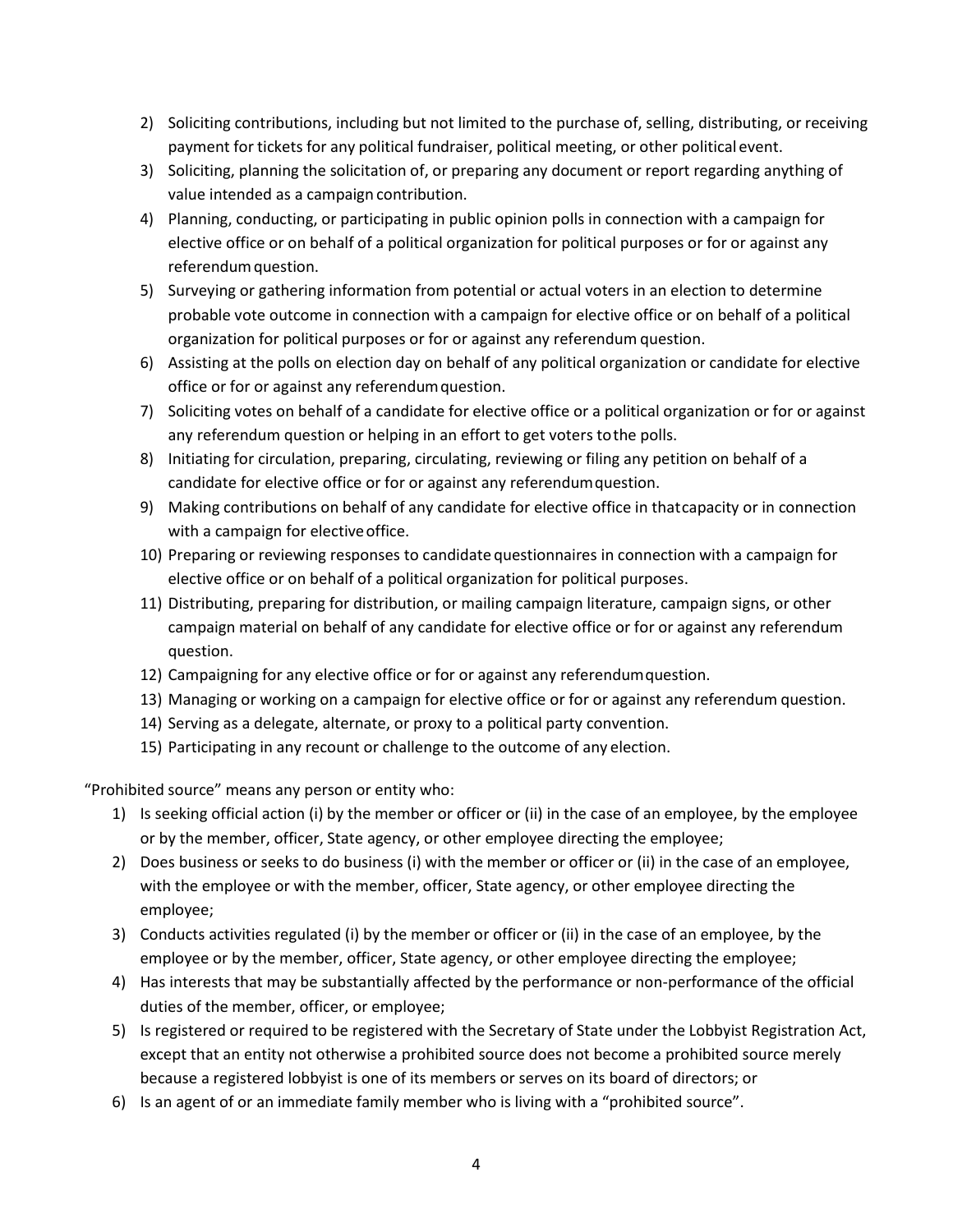- 2) Soliciting contributions, including but not limited to the purchase of, selling, distributing, or receiving payment for tickets for any political fundraiser, political meeting, or other political event.
- 3) Soliciting, planning the solicitation of, or preparing any document or report regarding anything of value intended as a campaign contribution.
- 4) Planning, conducting, or participating in public opinion polls in connection with a campaign for elective office or on behalf of a political organization for political purposes or for or against any referendum question.
- 5) Surveying or gathering information from potential or actual voters in an election to determine probable vote outcome in connection with a campaign for elective office or on behalf of a political organization for political purposes or for or against any referendum question.
- 6) Assisting at the polls on election day on behalf of any political organization or candidate for elective office or for or against any referendumquestion.
- 7) Soliciting votes on behalf of a candidate for elective office or a political organization or for or against any referendum question or helping in an effort to get voters tothe polls.
- 8) Initiating for circulation, preparing, circulating, reviewing or filing any petition on behalf of a candidate for elective office or for or against any referendumquestion.
- 9) Making contributions on behalf of any candidate for elective office in thatcapacity or in connection with a campaign for elective office.
- 10) Preparing or reviewing responses to candidate questionnaires in connection with a campaign for elective office or on behalf of a political organization for political purposes.
- 11) Distributing, preparing for distribution, or mailing campaign literature, campaign signs, or other campaign material on behalf of any candidate for elective office or for or against any referendum question.
- 12) Campaigning for any elective office or for or against any referendumquestion.
- 13) Managing or working on a campaign for elective office or for or against any referendum question.
- 14) Serving as a delegate, alternate, or proxy to a political party convention.
- 15) Participating in any recount or challenge to the outcome of any election.

"Prohibited source" means any person or entity who:

- 1) Is seeking official action (i) by the member or officer or (ii) in the case of an employee, by the employee or by the member, officer, State agency, or other employee directing the employee;
- 2) Does business or seeks to do business (i) with the member or officer or (ii) in the case of an employee, with the employee or with the member, officer, State agency, or other employee directing the employee;
- 3) Conducts activities regulated (i) by the member or officer or (ii) in the case of an employee, by the employee or by the member, officer, State agency, or other employee directing the employee;
- 4) Has interests that may be substantially affected by the performance or non-performance of the official duties of the member, officer, or employee;
- 5) Is registered or required to be registered with the Secretary of State under the Lobbyist Registration Act, except that an entity not otherwise a prohibited source does not become a prohibited source merely because a registered lobbyist is one of its members or serves on its board of directors; or
- 6) Is an agent of or an immediate family member who is living with a "prohibited source".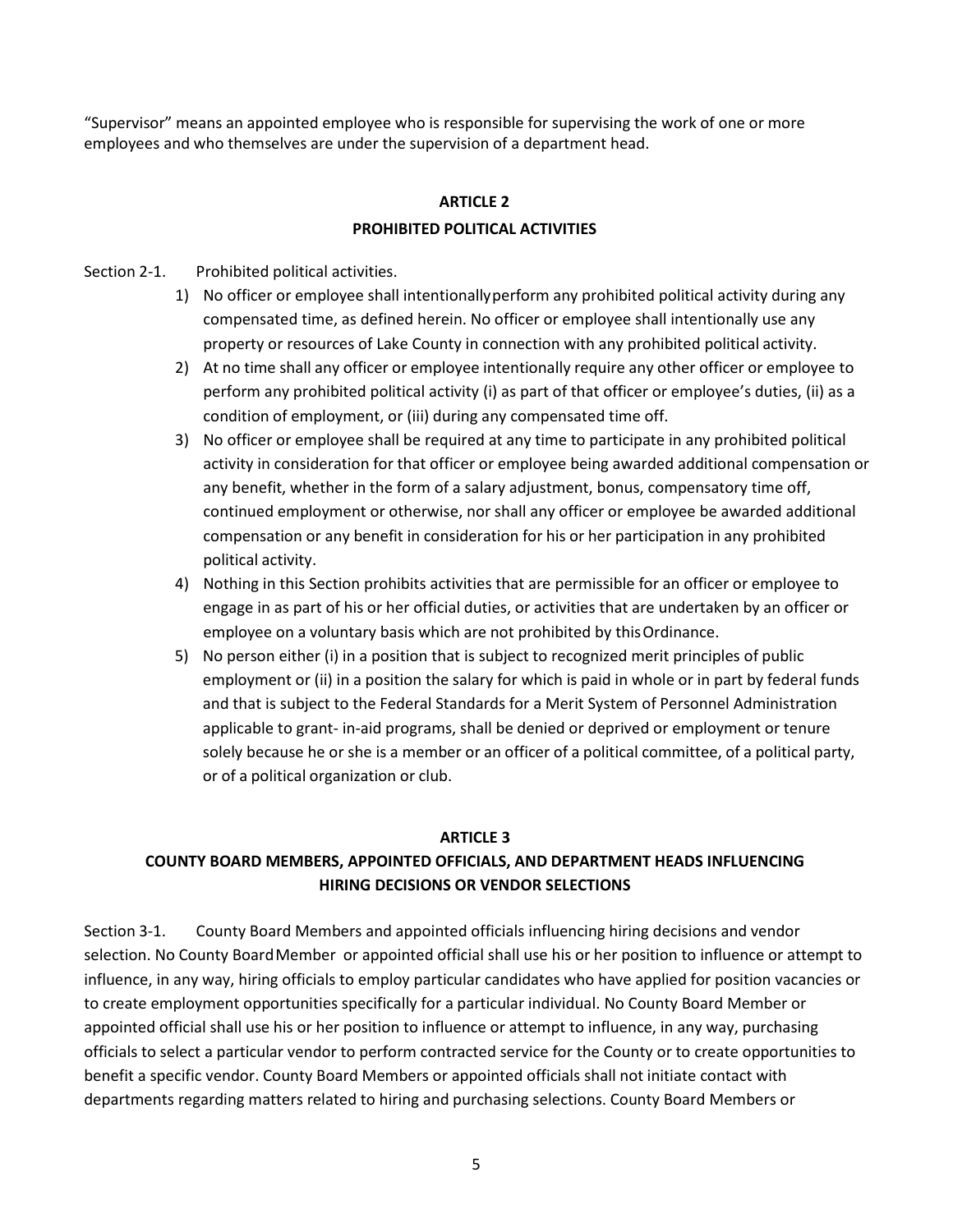"Supervisor" means an appointed employee who is responsible for supervising the work of one or more employees and who themselves are under the supervision of a department head.

## **ARTICLE 2 PROHIBITED POLITICAL ACTIVITIES**

#### Section 2-1. Prohibited political activities.

- 1) No officer or employee shall intentionallyperform any prohibited political activity during any compensated time, as defined herein. No officer or employee shall intentionally use any property or resources of Lake County in connection with any prohibited political activity.
- 2) At no time shall any officer or employee intentionally require any other officer or employee to perform any prohibited political activity (i) as part of that officer or employee's duties, (ii) as a condition of employment, or (iii) during any compensated time off.
- 3) No officer or employee shall be required at any time to participate in any prohibited political activity in consideration for that officer or employee being awarded additional compensation or any benefit, whether in the form of a salary adjustment, bonus, compensatory time off, continued employment or otherwise, nor shall any officer or employee be awarded additional compensation or any benefit in consideration for his or her participation in any prohibited political activity.
- 4) Nothing in this Section prohibits activities that are permissible for an officer or employee to engage in as part of his or her official duties, or activities that are undertaken by an officer or employee on a voluntary basis which are not prohibited by thisOrdinance.
- 5) No person either (i) in a position that is subject to recognized merit principles of public employment or (ii) in a position the salary for which is paid in whole or in part by federal funds and that is subject to the Federal Standards for a Merit System of Personnel Administration applicable to grant‐ in‐aid programs, shall be denied or deprived or employment or tenure solely because he or she is a member or an officer of a political committee, of a political party, or of a political organization or club.

#### **ARTICLE 3**

## **COUNTY BOARD MEMBERS, APPOINTED OFFICIALS, AND DEPARTMENT HEADS INFLUENCING HIRING DECISIONS OR VENDOR SELECTIONS**

Section 3‐1. County Board Members and appointed officials influencing hiring decisions and vendor selection. No County BoardMember or appointed official shall use his or her position to influence or attempt to influence, in any way, hiring officials to employ particular candidates who have applied for position vacancies or to create employment opportunities specifically for a particular individual. No County Board Member or appointed official shall use his or her position to influence or attempt to influence, in any way, purchasing officials to select a particular vendor to perform contracted service for the County or to create opportunities to benefit a specific vendor. County Board Members or appointed officials shall not initiate contact with departments regarding matters related to hiring and purchasing selections. County Board Members or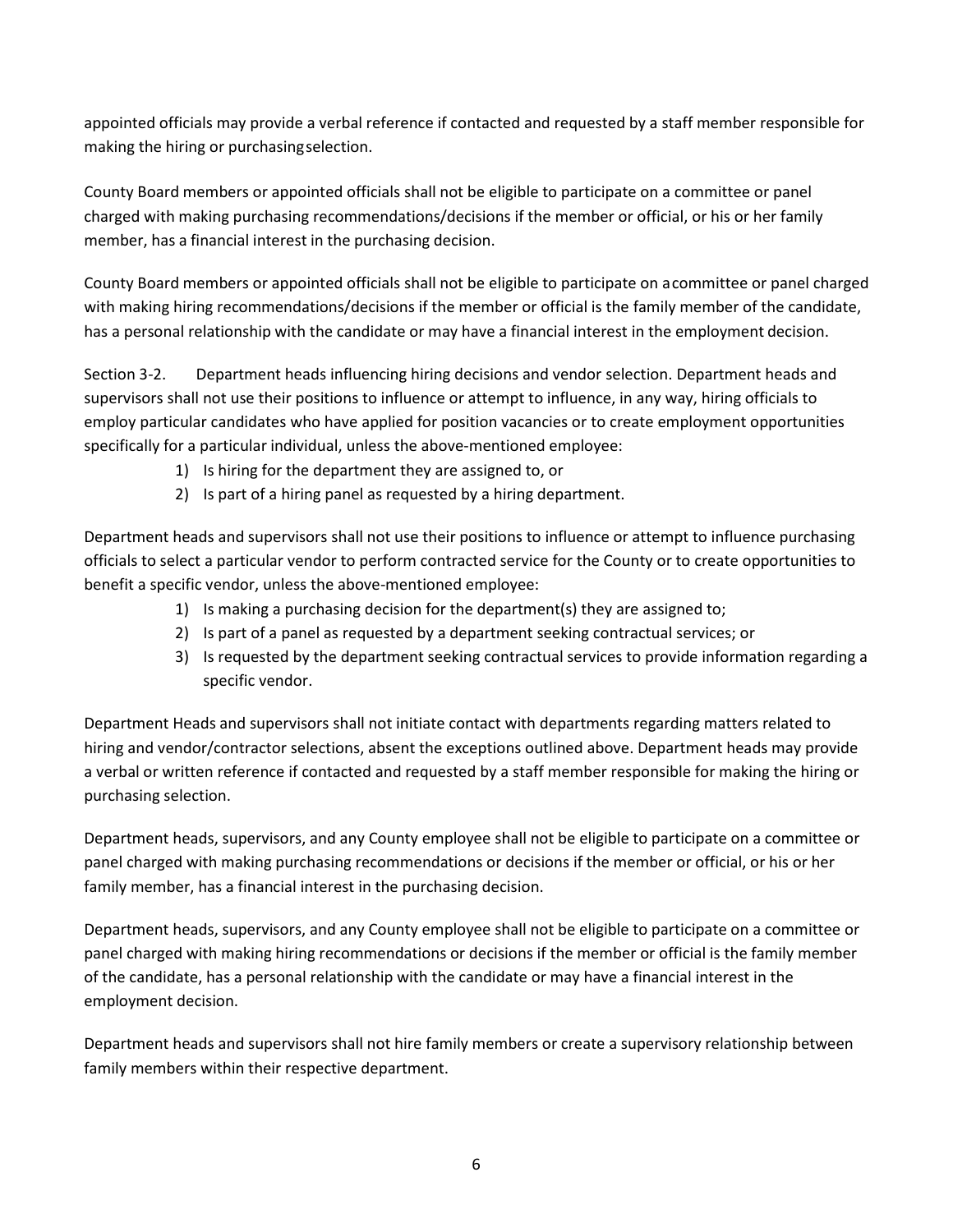appointed officials may provide a verbal reference if contacted and requested by a staff member responsible for making the hiring or purchasingselection.

County Board members or appointed officials shall not be eligible to participate on a committee or panel charged with making purchasing recommendations/decisions if the member or official, or his or her family member, has a financial interest in the purchasing decision.

County Board members or appointed officials shall not be eligible to participate on acommittee or panel charged with making hiring recommendations/decisions if the member or official is the family member of the candidate, has a personal relationship with the candidate or may have a financial interest in the employment decision.

Section 3-2. Department heads influencing hiring decisions and vendor selection. Department heads and supervisors shall not use their positions to influence or attempt to influence, in any way, hiring officials to employ particular candidates who have applied for position vacancies or to create employment opportunities specifically for a particular individual, unless the above-mentioned employee:

- 1) Is hiring for the department they are assigned to, or
- 2) Is part of a hiring panel as requested by a hiring department.

Department heads and supervisors shall not use their positions to influence or attempt to influence purchasing officials to select a particular vendor to perform contracted service for the County or to create opportunities to benefit a specific vendor, unless the above-mentioned employee:

- 1) Is making a purchasing decision for the department(s) they are assigned to;
- 2) Is part of a panel as requested by a department seeking contractual services; or
- 3) Is requested by the department seeking contractual services to provide information regarding a specific vendor.

Department Heads and supervisors shall not initiate contact with departments regarding matters related to hiring and vendor/contractor selections, absent the exceptions outlined above. Department heads may provide a verbal or written reference if contacted and requested by a staff member responsible for making the hiring or purchasing selection.

Department heads, supervisors, and any County employee shall not be eligible to participate on a committee or panel charged with making purchasing recommendations or decisions if the member or official, or his or her family member, has a financial interest in the purchasing decision.

Department heads, supervisors, and any County employee shall not be eligible to participate on a committee or panel charged with making hiring recommendations or decisions if the member or official is the family member of the candidate, has a personal relationship with the candidate or may have a financial interest in the employment decision.

Department heads and supervisors shall not hire family members or create a supervisory relationship between family members within their respective department.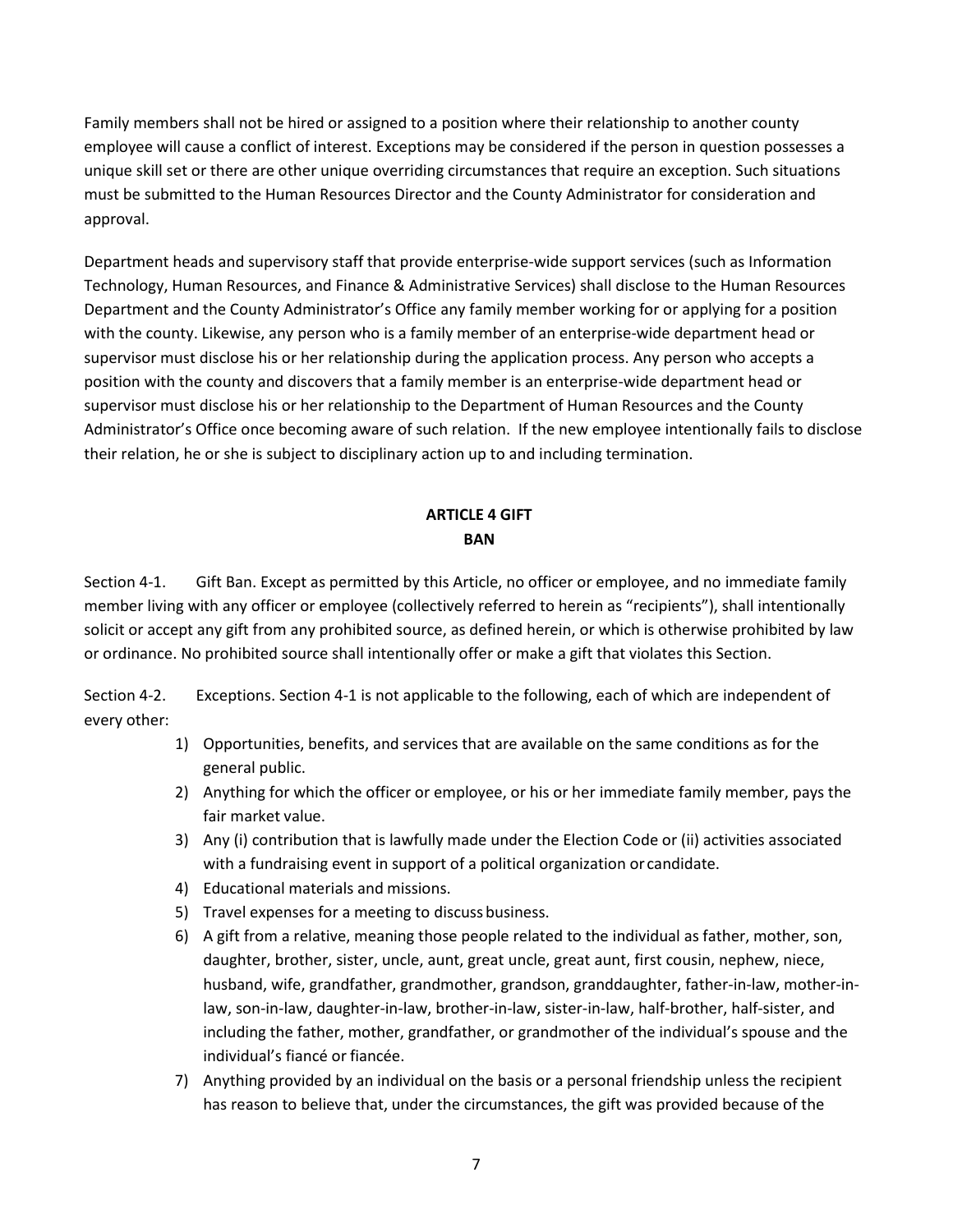Family members shall not be hired or assigned to a position where their relationship to another county employee will cause a conflict of interest. Exceptions may be considered if the person in question possesses a unique skill set or there are other unique overriding circumstances that require an exception. Such situations must be submitted to the Human Resources Director and the County Administrator for consideration and approval.

Department heads and supervisory staff that provide enterprise-wide support services (such as Information Technology, Human Resources, and Finance & Administrative Services) shall disclose to the Human Resources Department and the County Administrator's Office any family member working for or applying for a position with the county. Likewise, any person who is a family member of an enterprise-wide department head or supervisor must disclose his or her relationship during the application process. Any person who accepts a position with the county and discovers that a family member is an enterprise-wide department head or supervisor must disclose his or her relationship to the Department of Human Resources and the County Administrator's Office once becoming aware of such relation. If the new employee intentionally fails to disclose their relation, he or she is subject to disciplinary action up to and including termination.

## **ARTICLE 4 GIFT BAN**

Section 4‐1. Gift Ban. Except as permitted by this Article, no officer or employee, and no immediate family member living with any officer or employee (collectively referred to herein as "recipients"), shall intentionally solicit or accept any gift from any prohibited source, as defined herein, or which is otherwise prohibited by law or ordinance. No prohibited source shall intentionally offer or make a gift that violates this Section.

Section 4‐2. Exceptions. Section 4‐1 is not applicable to the following, each of which are independent of every other:

- 1) Opportunities, benefits, and services that are available on the same conditions as for the general public.
- 2) Anything for which the officer or employee, or his or her immediate family member, pays the fair market value.
- 3) Any (i) contribution that is lawfully made under the Election Code or (ii) activities associated with a fundraising event in support of a political organization or candidate.
- 4) Educational materials and missions.
- 5) Travel expenses for a meeting to discuss business.
- 6) A gift from a relative, meaning those people related to the individual as father, mother, son, daughter, brother, sister, uncle, aunt, great uncle, great aunt, first cousin, nephew, niece, husband, wife, grandfather, grandmother, grandson, granddaughter, father‐in‐law, mother‐in‐ law, son‐in‐law, daughter‐in‐law, brother‐in‐law, sister‐in‐law, half-brother, half-sister, and including the father, mother, grandfather, or grandmother of the individual's spouse and the individual's fiancé or fiancée.
- 7) Anything provided by an individual on the basis or a personal friendship unless the recipient has reason to believe that, under the circumstances, the gift was provided because of the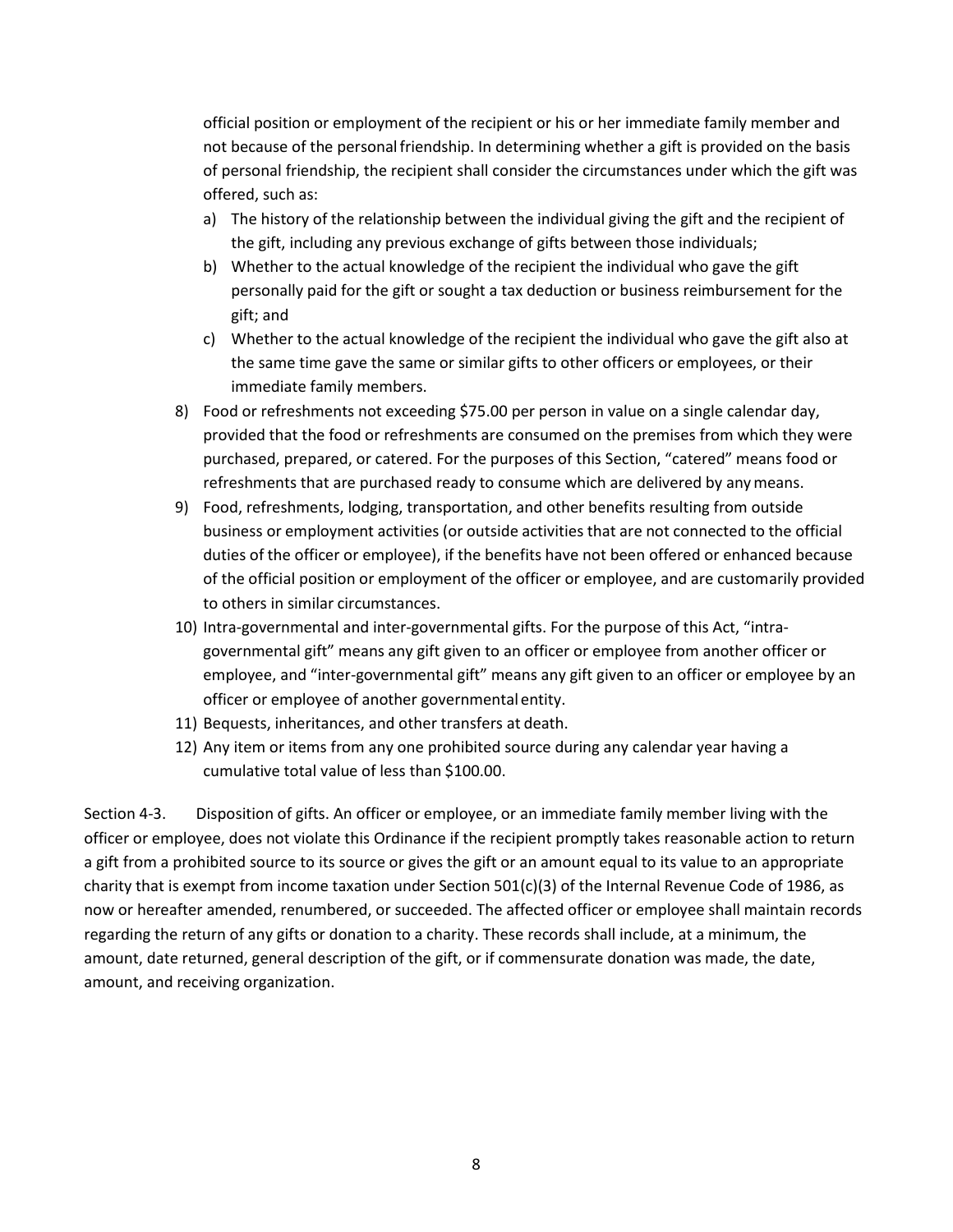official position or employment of the recipient or his or her immediate family member and not because of the personalfriendship. In determining whether a gift is provided on the basis of personal friendship, the recipient shall consider the circumstances under which the gift was offered, such as:

- a) The history of the relationship between the individual giving the gift and the recipient of the gift, including any previous exchange of gifts between those individuals;
- b) Whether to the actual knowledge of the recipient the individual who gave the gift personally paid for the gift or sought a tax deduction or business reimbursement for the gift; and
- c) Whether to the actual knowledge of the recipient the individual who gave the gift also at the same time gave the same or similar gifts to other officers or employees, or their immediate family members.
- 8) Food or refreshments not exceeding \$75.00 per person in value on a single calendar day, provided that the food or refreshments are consumed on the premises from which they were purchased, prepared, or catered. For the purposes of this Section, "catered" means food or refreshments that are purchased ready to consume which are delivered by anymeans.
- 9) Food, refreshments, lodging, transportation, and other benefits resulting from outside business or employment activities (or outside activities that are not connected to the official duties of the officer or employee), if the benefits have not been offered or enhanced because of the official position or employment of the officer or employee, and are customarily provided to others in similar circumstances.
- 10) Intra‐governmental and inter‐governmental gifts. For the purpose of this Act, "intra‐ governmental gift" means any gift given to an officer or employee from another officer or employee, and "inter-governmental gift" means any gift given to an officer or employee by an officer or employee of another governmental entity.
- 11) Bequests, inheritances, and other transfers at death.
- 12) Any item or items from any one prohibited source during any calendar year having a cumulative total value of less than \$100.00.

Section 4‐3. Disposition of gifts. An officer or employee, or an immediate family member living with the officer or employee, does not violate this Ordinance if the recipient promptly takes reasonable action to return a gift from a prohibited source to its source or gives the gift or an amount equal to its value to an appropriate charity that is exempt from income taxation under Section 501(c)(3) of the Internal Revenue Code of 1986, as now or hereafter amended, renumbered, or succeeded. The affected officer or employee shall maintain records regarding the return of any gifts or donation to a charity. These records shall include, at a minimum, the amount, date returned, general description of the gift, or if commensurate donation was made, the date, amount, and receiving organization.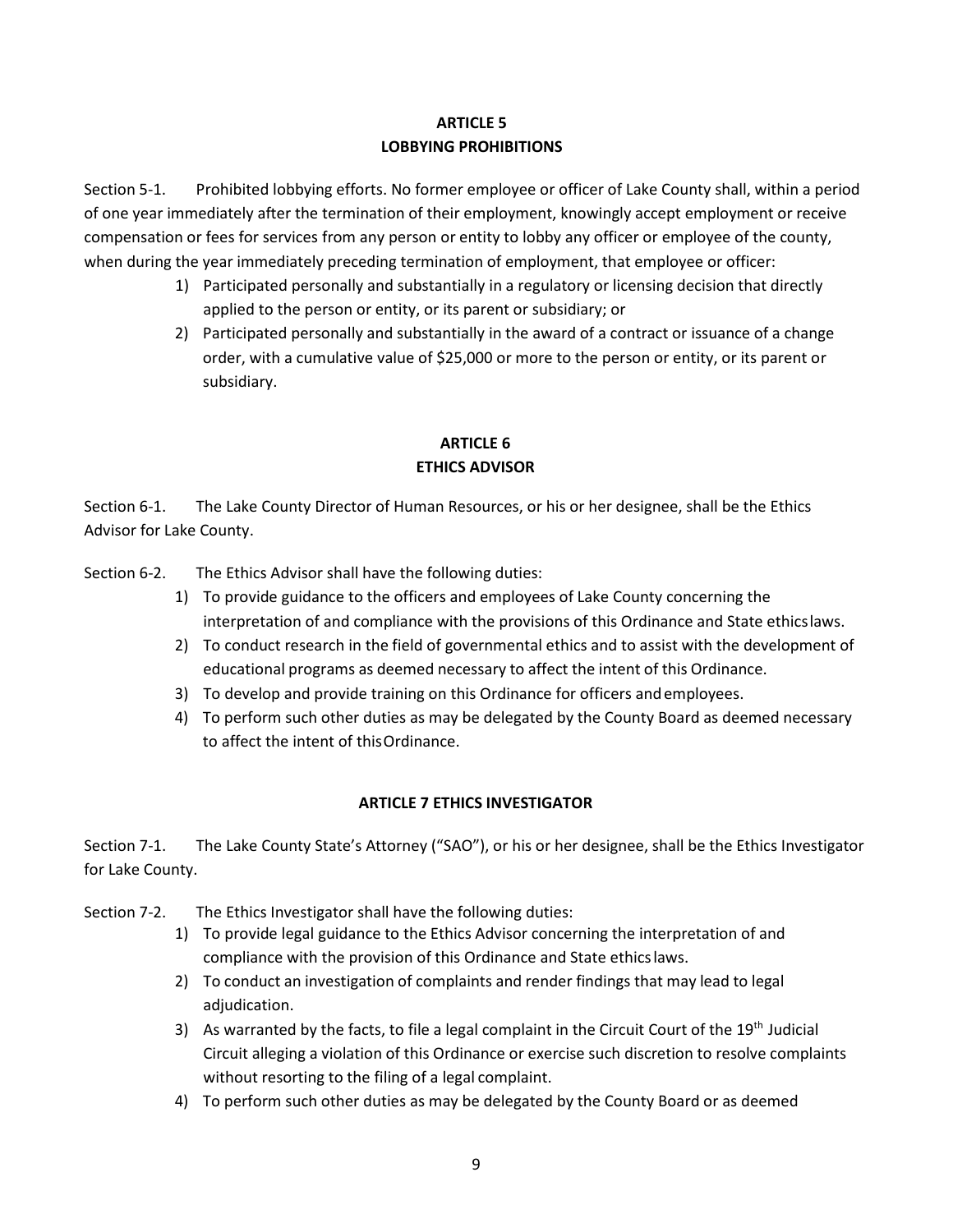### **ARTICLE 5 LOBBYING PROHIBITIONS**

Section 5‐1. Prohibited lobbying efforts. No former employee or officer of Lake County shall, within a period of one year immediately after the termination of their employment, knowingly accept employment or receive compensation or fees for services from any person or entity to lobby any officer or employee of the county, when during the year immediately preceding termination of employment, that employee or officer:

- 1) Participated personally and substantially in a regulatory or licensing decision that directly applied to the person or entity, or its parent or subsidiary; or
- 2) Participated personally and substantially in the award of a contract or issuance of a change order, with a cumulative value of \$25,000 or more to the person or entity, or its parent or subsidiary.

## **ARTICLE 6 ETHICS ADVISOR**

Section 6‐1. The Lake County Director of Human Resources, or his or her designee, shall be the Ethics Advisor for Lake County.

Section 6-2. The Ethics Advisor shall have the following duties:

- 1) To provide guidance to the officers and employees of Lake County concerning the interpretation of and compliance with the provisions of this Ordinance and State ethicslaws.
- 2) To conduct research in the field of governmental ethics and to assist with the development of educational programs as deemed necessary to affect the intent of this Ordinance.
- 3) To develop and provide training on this Ordinance for officers andemployees.
- 4) To perform such other duties as may be delegated by the County Board as deemed necessary to affect the intent of thisOrdinance.

## **ARTICLE 7 ETHICS INVESTIGATOR**

Section 7-1. The Lake County State's Attorney ("SAO"), or his or her designee, shall be the Ethics Investigator for Lake County.

Section 7-2. The Ethics Investigator shall have the following duties:

- 1) To provide legal guidance to the Ethics Advisor concerning the interpretation of and compliance with the provision of this Ordinance and State ethicslaws.
- 2) To conduct an investigation of complaints and render findings that may lead to legal adjudication.
- 3) As warranted by the facts, to file a legal complaint in the Circuit Court of the 19<sup>th</sup> Judicial Circuit alleging a violation of this Ordinance or exercise such discretion to resolve complaints without resorting to the filing of a legal complaint.
- 4) To perform such other duties as may be delegated by the County Board or as deemed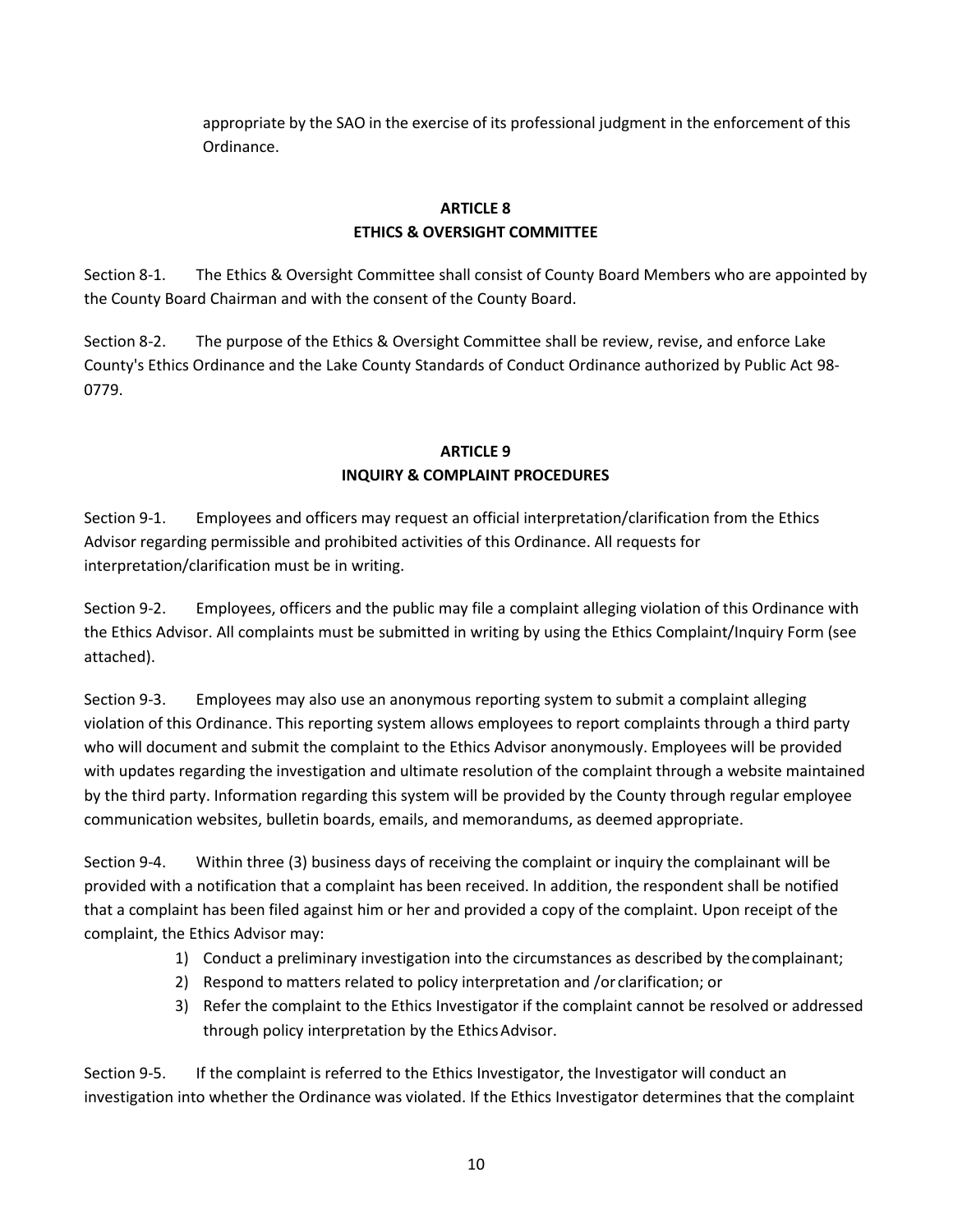appropriate by the SAO in the exercise of its professional judgment in the enforcement of this Ordinance.

## **ARTICLE 8 ETHICS & OVERSIGHT COMMITTEE**

Section 8‐1. The Ethics & Oversight Committee shall consist of County Board Members who are appointed by the County Board Chairman and with the consent of the County Board.

Section 8-2. The purpose of the Ethics & Oversight Committee shall be review, revise, and enforce Lake County's Ethics Ordinance and the Lake County Standards of Conduct Ordinance authorized by Public Act 98- 0779.

## **ARTICLE 9 INQUIRY & COMPLAINT PROCEDURES**

Section 9‐1. Employees and officers may request an official interpretation/clarification from the Ethics Advisor regarding permissible and prohibited activities of this Ordinance. All requests for interpretation/clarification must be in writing.

Section 9‐2. Employees, officers and the public may file a complaint alleging violation of this Ordinance with the Ethics Advisor. All complaints must be submitted in writing by using the Ethics Complaint/Inquiry Form (see attached).

Section 9‐3. Employees may also use an anonymous reporting system to submit a complaint alleging violation of this Ordinance. This reporting system allows employees to report complaints through a third party who will document and submit the complaint to the Ethics Advisor anonymously. Employees will be provided with updates regarding the investigation and ultimate resolution of the complaint through a website maintained by the third party. Information regarding this system will be provided by the County through regular employee communication websites, bulletin boards, emails, and memorandums, as deemed appropriate.

Section 9-4. Within three (3) business days of receiving the complaint or inquiry the complainant will be provided with a notification that a complaint has been received. In addition, the respondent shall be notified that a complaint has been filed against him or her and provided a copy of the complaint. Upon receipt of the complaint, the Ethics Advisor may:

- 1) Conduct a preliminary investigation into the circumstances as described by thecomplainant;
- 2) Respond to matters related to policy interpretation and /or clarification; or
- 3) Refer the complaint to the Ethics Investigator if the complaint cannot be resolved or addressed through policy interpretation by the EthicsAdvisor.

Section 9-5. If the complaint is referred to the Ethics Investigator, the Investigator will conduct an investigation into whether the Ordinance was violated. If the Ethics Investigator determines that the complaint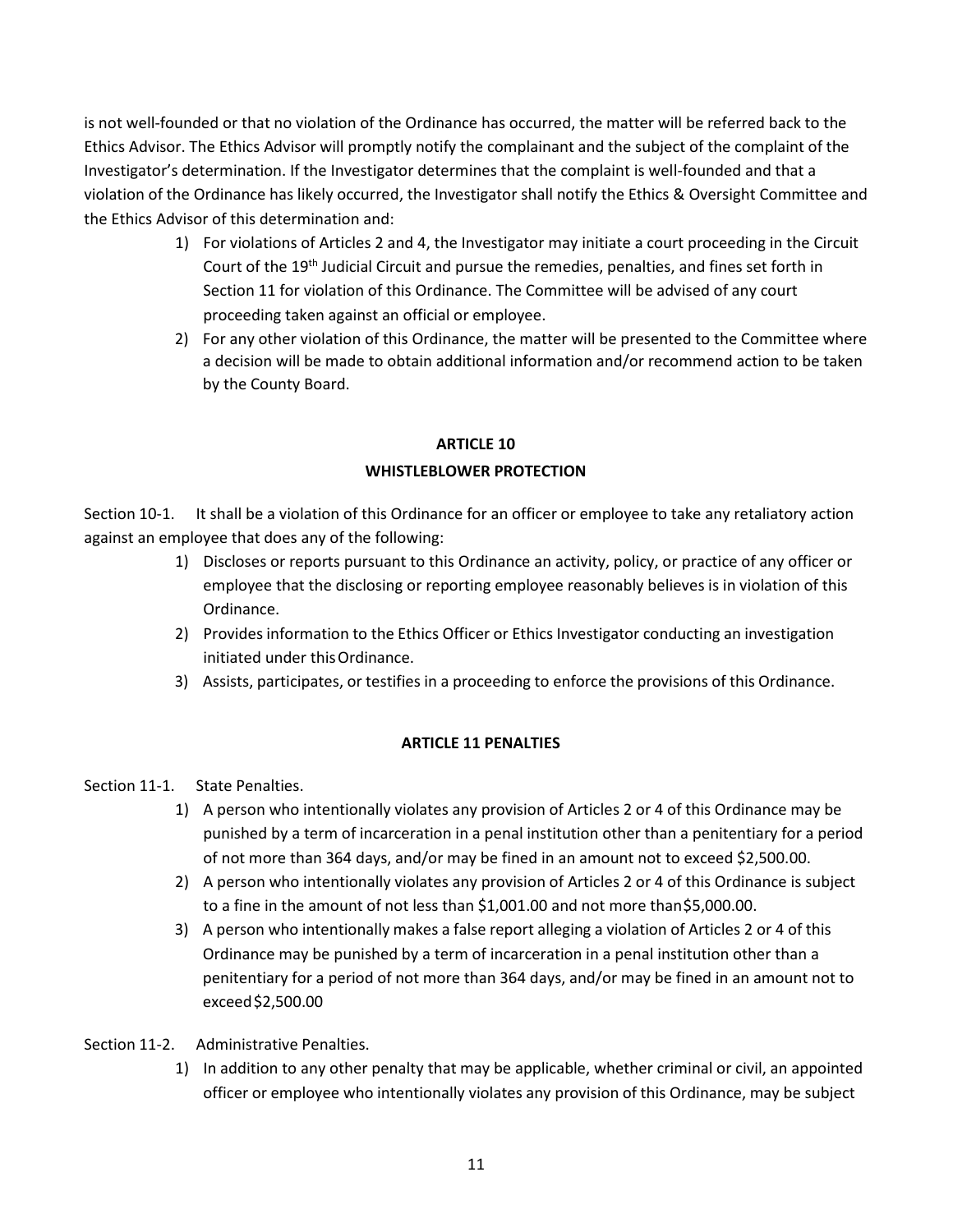is not well‐founded or that no violation of the Ordinance has occurred, the matter will be referred back to the Ethics Advisor. The Ethics Advisor will promptly notify the complainant and the subject of the complaint of the Investigator's determination. If the Investigator determines that the complaint is well-founded and that a violation of the Ordinance has likely occurred, the Investigator shall notify the Ethics & Oversight Committee and the Ethics Advisor of this determination and:

- 1) For violations of Articles 2 and 4, the Investigator may initiate a court proceeding in the Circuit Court of the 19<sup>th</sup> Judicial Circuit and pursue the remedies, penalties, and fines set forth in Section 11 for violation of this Ordinance. The Committee will be advised of any court proceeding taken against an official or employee.
- 2) For any other violation of this Ordinance, the matter will be presented to the Committee where a decision will be made to obtain additional information and/or recommend action to be taken by the County Board.

## **ARTICLE 10 WHISTLEBLOWER PROTECTION**

Section 10-1. It shall be a violation of this Ordinance for an officer or employee to take any retaliatory action against an employee that does any of the following:

- 1) Discloses or reports pursuant to this Ordinance an activity, policy, or practice of any officer or employee that the disclosing or reporting employee reasonably believes is in violation of this Ordinance.
- 2) Provides information to the Ethics Officer or Ethics Investigator conducting an investigation initiated under thisOrdinance.
- 3) Assists, participates, or testifies in a proceeding to enforce the provisions of this Ordinance.

## **ARTICLE 11 PENALTIES**

Section 11-1. State Penalties.

- 1) A person who intentionally violates any provision of Articles 2 or 4 of this Ordinance may be punished by a term of incarceration in a penal institution other than a penitentiary for a period of not more than 364 days, and/or may be fined in an amount not to exceed \$2,500.00.
- 2) A person who intentionally violates any provision of Articles 2 or 4 of this Ordinance is subject to a fine in the amount of not less than \$1,001.00 and not more than\$5,000.00.
- 3) A person who intentionally makes a false report alleging a violation of Articles 2 or 4 of this Ordinance may be punished by a term of incarceration in a penal institution other than a penitentiary for a period of not more than 364 days, and/or may be fined in an amount not to exceed\$2,500.00
- Section 11-2. Administrative Penalties.
	- 1) In addition to any other penalty that may be applicable, whether criminal or civil, an appointed officer or employee who intentionally violates any provision of this Ordinance, may be subject